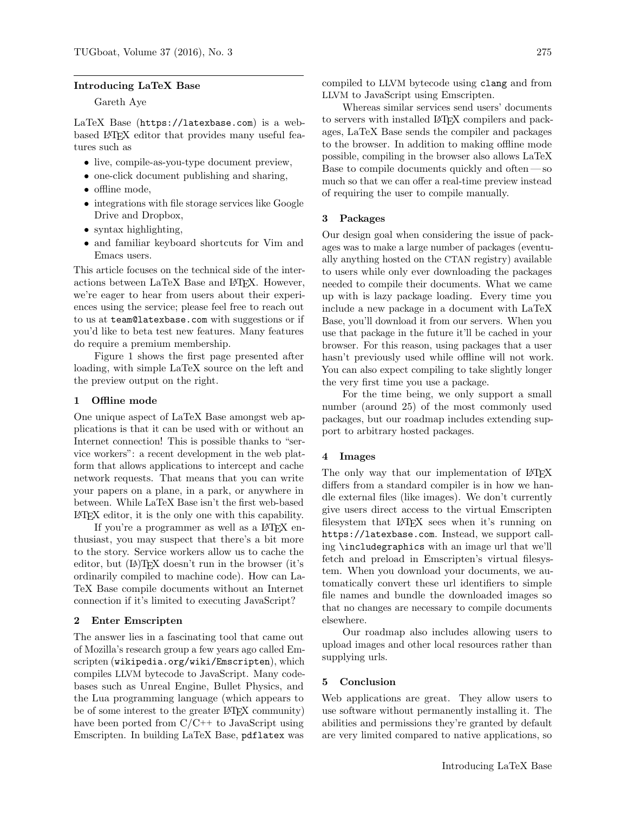#### Introducing LaTeX Base

Gareth Aye

LaTeX Base (<https://latexbase.com>) is a webbased LATEX editor that provides many useful features such as

- live, compile-as-you-type document preview,
- one-click document publishing and sharing,
- offline mode,
- integrations with file storage services like Google Drive and Dropbox,
- syntax highlighting,
- and familiar keyboard shortcuts for Vim and Emacs users.

This article focuses on the technical side of the interactions between LaTeX Base and LATEX. However, we're eager to hear from users about their experiences using the service; please feel free to reach out to us at <team@latexbase.com> with suggestions or if you'd like to beta test new features. Many features do require a [premium membership.](https://latexbase.com/static/pricing)

Figure [1](#page-1-0) shows the first page presented after loading, with simple LaTeX source on the left and the preview output on the right.

## 1 Offline mode

One unique aspect of LaTeX Base amongst web applications is that it can be used with or without an Internet connection! This is possible thanks to "service workers": a recent development in the web platform that allows applications to intercept and cache network requests. That means that you can write your papers on a plane, in a park, or anywhere in between. While LaTeX Base isn't the first web-based LATEX editor, it is the only one with this capability.

If you're a programmer as well as a L<sup>AT</sup>FX enthusiast, you may suspect that there's a bit more to the story. Service workers allow us to cache the editor, but (LA)T<sub>E</sub>X doesn't run in the browser (it's ordinarily compiled to machine code). How can La-TeX Base compile documents without an Internet connection if it's limited to executing JavaScript?

# 2 Enter Emscripten

The answer lies in a fascinating tool that came out of Mozilla's research group a few years ago called Emscripten (<wikipedia.org/wiki/Emscripten>), which compiles LLVM bytecode to JavaScript. Many codebases such as Unreal Engine, Bullet Physics, and the Lua programming language (which appears to be of some interest to the greater LATEX community) have been ported from  $C/C++$  to JavaScript using Emscripten. In building LaTeX Base, pdflatex was

compiled to LLVM bytecode using clang and from LLVM to JavaScript using Emscripten.

Whereas similar services send users' documents to servers with installed LATEX compilers and packages, LaTeX Base sends the compiler and packages to the browser. In addition to making offline mode possible, compiling in the browser also allows LaTeX Base to compile documents quickly and often— so much so that we can offer a real-time preview instead of requiring the user to compile manually.

#### 3 Packages

Our design goal when considering the issue of packages was to make a large number of packages (eventually anything hosted on the CTAN registry) available to users while only ever downloading the packages needed to compile their documents. What we came up with is lazy package loading. Every time you include a new package in a document with LaTeX Base, you'll download it from our servers. When you use that package in the future it'll be cached in your browser. For this reason, using packages that a user hasn't previously used while offline will not work. You can also expect compiling to take slightly longer the very first time you use a package.

For the time being, we only support a small number (around 25) of the most commonly used packages, but our roadmap includes extending support to arbitrary hosted packages.

### 4 Images

The only way that our implementation of LAT<sub>EX</sub> differs from a standard compiler is in how we handle external files (like images). We don't currently give users direct access to the virtual Emscripten filesystem that LAT<sub>EX</sub> sees when it's running on <https://latexbase.com>. Instead, we support calling \includegraphics with an image url that we'll fetch and preload in Emscripten's virtual filesystem. When you download your documents, we automatically convert these url identifiers to simple file names and bundle the downloaded images so that no changes are necessary to compile documents elsewhere.

Our roadmap also includes allowing users to upload images and other local resources rather than supplying urls.

#### 5 Conclusion

Web applications are great. They allow users to use software without permanently installing it. The abilities and permissions they're granted by default are very limited compared to native applications, so